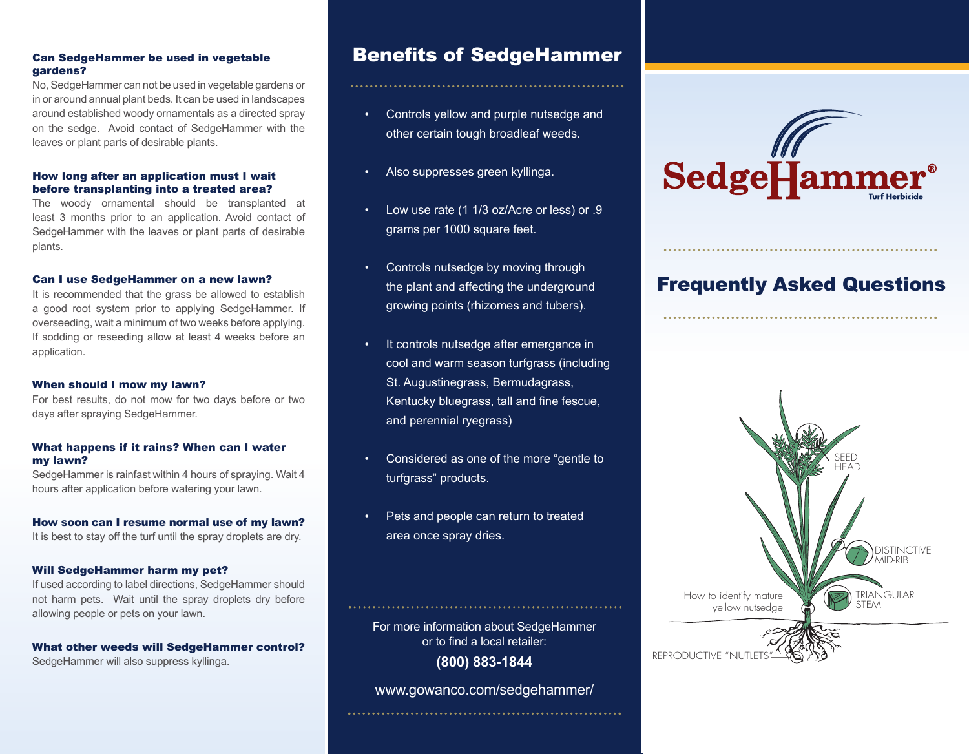# Can SedgeHammer be used in vegetable gardens?

No, SedgeHammer can not be used in vegetable gardens or in or around annual plant beds. It can be used in landscapes around established woody ornamentals as a directed spray on the sedge. Avoid contact of SedgeHammer with the leaves or plant parts of desirable plants.

# How long after an application must I wait before transplanting into a treated area?

The woody ornamental should be transplanted at least 3 months prior to an application. Avoid contact of SedgeHammer with the leaves or plant parts of desirable plants.

## Can I use SedgeHammer on a new lawn?

It is recommended that the grass be allowed to establish a good root system prior to applying SedgeHammer. If overseeding, wait a minimum of two weeks before applying. If sodding or reseeding allow at least 4 weeks before an application.

### When should I mow my lawn?

For best results, do not mow for two days before or two days after spraying SedgeHammer.

### What happens if it rains? When can I water my lawn?

SedgeHammer is rainfast within 4 hours of spraying. Wait 4 hours after application before watering your lawn.

### How soon can I resume normal use of my lawn?

It is best to stay off the turf until the spray droplets are dry.

# Will SedgeHammer harm my pet?

If used according to label directions, SedgeHammer should not harm pets. Wait until the spray droplets dry before allowing people or pets on your lawn.

What other weeds will SedgeHammer control? SedgeHammer will also suppress kyllinga.

# **Benefits of SedgeHammer**

- Controls yellow and purple nutsedge and other certain tough broadleaf weeds.
- Also suppresses green kyllinga.
- Low use rate (1 1/3 oz/Acre or less) or .9 grams per 1000 square feet.
- Controls nutsedge by moving through the plant and affecting the underground growing points (rhizomes and tubers).
- It controls nutsedge after emergence in cool and warm season turfgrass (including St. Augustinegrass, Bermudagrass, Kentucky bluegrass, tall and fine fescue, and perennial ryegrass)
- Considered as one of the more "gentle to turfgrass" products.
- Pets and people can return to treated area once spray dries.

For more information about SedgeHammer or to find a local retailer:

**(800) 883-1844**

www.gowanco.com/sedgehammer/ 



# Frequently Asked Questions